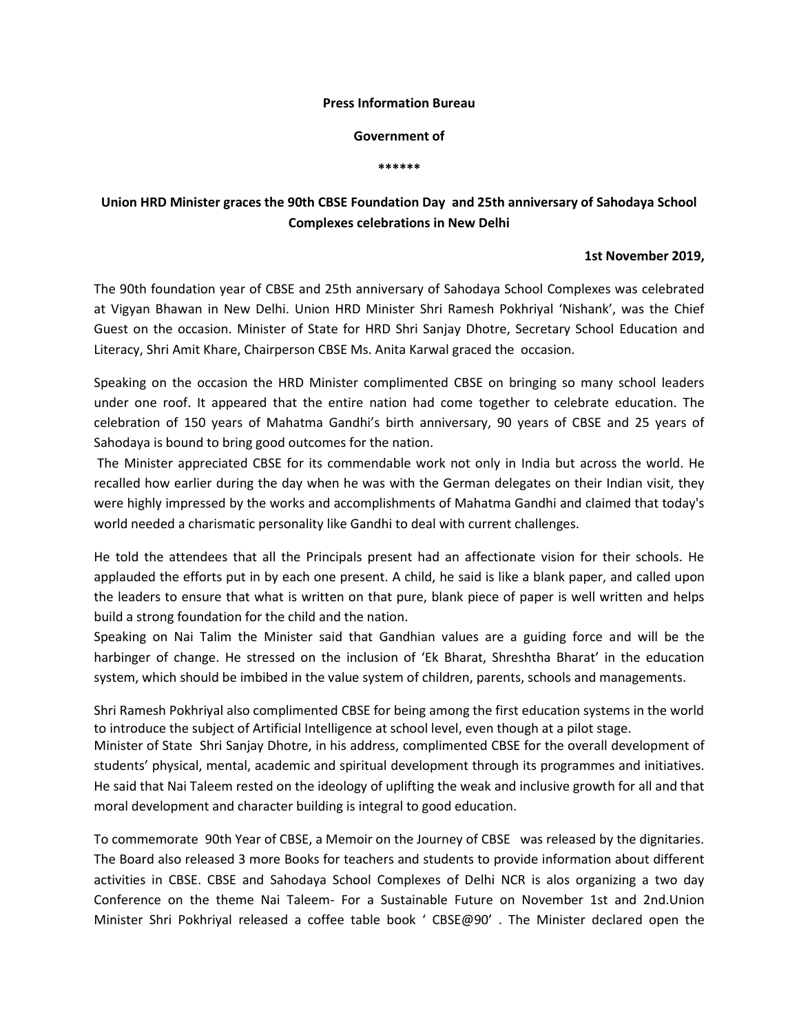## **Press Information Bureau**

## **Government of**

**\*\*\*\*\*\***

## **Union HRD Minister graces the 90th CBSE Foundation Day and 25th anniversary of Sahodaya School Complexes celebrations in New Delhi**

## **1st November 2019,**

The 90th foundation year of CBSE and 25th anniversary of Sahodaya School Complexes was celebrated at Vigyan Bhawan in New Delhi. Union HRD Minister Shri Ramesh Pokhriyal 'Nishank', was the Chief Guest on the occasion. Minister of State for HRD Shri Sanjay Dhotre, Secretary School Education and Literacy, Shri Amit Khare, Chairperson CBSE Ms. Anita Karwal graced the occasion.

Speaking on the occasion the HRD Minister complimented CBSE on bringing so many school leaders under one roof. It appeared that the entire nation had come together to celebrate education. The celebration of 150 years of Mahatma Gandhi's birth anniversary, 90 years of CBSE and 25 years of Sahodaya is bound to bring good outcomes for the nation.

The Minister appreciated CBSE for its commendable work not only in India but across the world. He recalled how earlier during the day when he was with the German delegates on their Indian visit, they were highly impressed by the works and accomplishments of Mahatma Gandhi and claimed that today's world needed a charismatic personality like Gandhi to deal with current challenges.

He told the attendees that all the Principals present had an affectionate vision for their schools. He applauded the efforts put in by each one present. A child, he said is like a blank paper, and called upon the leaders to ensure that what is written on that pure, blank piece of paper is well written and helps build a strong foundation for the child and the nation.

Speaking on Nai Talim the Minister said that Gandhian values are a guiding force and will be the harbinger of change. He stressed on the inclusion of 'Ek Bharat, Shreshtha Bharat' in the education system, which should be imbibed in the value system of children, parents, schools and managements.

Shri Ramesh Pokhriyal also complimented CBSE for being among the first education systems in the world to introduce the subject of Artificial Intelligence at school level, even though at a pilot stage.

Minister of State Shri Sanjay Dhotre, in his address, complimented CBSE for the overall development of students' physical, mental, academic and spiritual development through its programmes and initiatives. He said that Nai Taleem rested on the ideology of uplifting the weak and inclusive growth for all and that moral development and character building is integral to good education.

To commemorate 90th Year of CBSE, a Memoir on the Journey of CBSE was released by the dignitaries. The Board also released 3 more Books for teachers and students to provide information about different activities in CBSE. CBSE and Sahodaya School Complexes of Delhi NCR is alos organizing a two day Conference on the theme Nai Taleem- For a Sustainable Future on November 1st and 2nd.Union Minister Shri Pokhriyal released a coffee table book ' CBSE@90' . The Minister declared open the